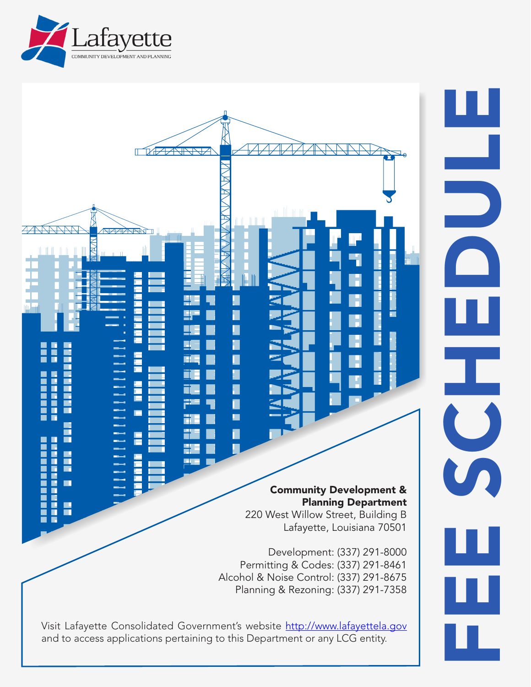



and to access applications pertaining to this Department or any LCG entity.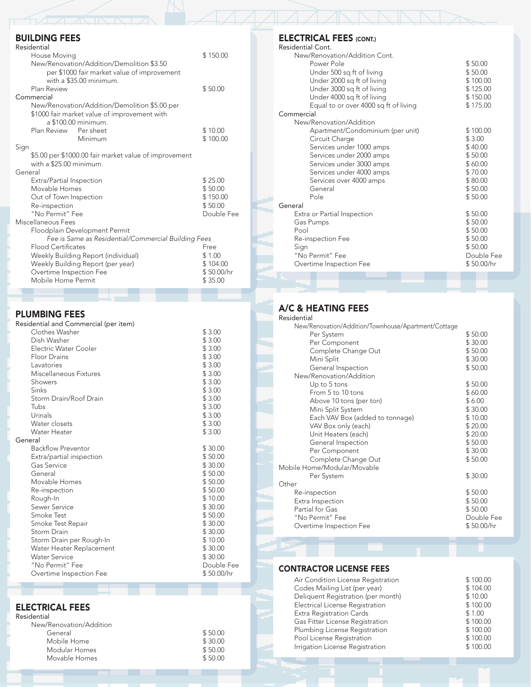## BUILDING FEES

| Residential                                           |            |
|-------------------------------------------------------|------------|
| House Moving                                          | \$150.00   |
| New/Renovation/Addition/Demolition \$3.50             |            |
| per \$1000 fair market value of improvement           |            |
| with a \$35.00 minimum.                               |            |
| Plan Review                                           | \$50.00    |
| Commercial                                            |            |
| New/Renovation/Addition/Demolition \$5.00 per         |            |
| \$1000 fair market value of improvement with          |            |
| a \$100.00 minimum.                                   |            |
| Plan Review<br>Per sheet                              | \$10.00    |
| Minimum                                               | \$100.00   |
| Sign                                                  |            |
| \$5.00 per \$1000.00 fair market value of improvement |            |
| with a \$25.00 minimum.                               |            |
| General                                               |            |
|                                                       | \$25.00    |
| Extra/Partial Inspection<br>Movable Homes             | \$50.00    |
|                                                       |            |
| Out of Town Inspection                                | \$150.00   |
| Re-inspection                                         | \$50.00    |
| "No Permit" Fee                                       | Double Fee |
| Miscellaneous Fees                                    |            |
| Floodplain Development Permit                         |            |
| Fee is Same as Residential/Commercial Building Fees   |            |
| <b>Flood Certificates</b>                             | Free       |
| Weekly Building Report (individual)                   | \$1.00     |
| Weekly Building Report (per year)                     | \$104.00   |
| Overtime Inspection Fee                               | \$50.00/hr |
| Mobile Home Permit                                    | \$35.00    |
|                                                       |            |

### PLUMBING FEES

| Residential and Commercial (per item) |            |
|---------------------------------------|------------|
| Clothes Washer                        | \$3.00     |
| Dish Washer                           | \$3.00     |
| Electric Water Cooler                 | \$3.00     |
| <b>Floor Drains</b>                   | \$3.00     |
| Lavatories                            | \$3.00     |
| Miscellaneous Fixtures                | \$3.00     |
| Showers                               | \$3.00     |
| Sinks                                 | \$3.00     |
| Storm Drain/Roof Drain                | \$3.00     |
| Tubs                                  | \$3.00     |
| Urinals                               | \$3.00     |
| Water closets                         | \$3.00     |
| <b>Water Heater</b>                   | \$3.00     |
| General                               |            |
| <b>Backflow Preventor</b>             | \$30.00    |
| Extra/partial inspection              | \$50.00    |
| Gas Service                           | \$30.00    |
| General                               | \$50.00    |
| Movable Homes                         | \$50.00    |
| Re-inspection                         | \$50.00    |
| Rough-In                              | \$10.00    |
| Sewer Service                         | \$30.00    |
| Smoke Test                            | \$50.00    |
| Smoke Test Repair                     | \$30.00    |
| Storm Drain                           | \$30.00    |
| Storm Drain per Rough-In              | \$10.00    |
| Water Heater Replacement              | \$30.00    |
| <b>Water Service</b>                  | \$30.00    |
| "No Permit" Fee                       | Double Fee |
| Overtime Inspection Fee               | \$50.00/hr |

### ELECTRICAL FEES

| Residential             |         |
|-------------------------|---------|
| New/Renovation/Addition |         |
| General                 | \$50.00 |
| Mobile Home             | \$30.00 |
| Modular Homes           | \$50.00 |
| Movable Homes           | \$50.00 |

### ELECTRICAL FEES (CONT.)

| Residential Cont.                     |            |
|---------------------------------------|------------|
| New/Renovation/Addition Cont.         |            |
| Power Pole                            | \$50.00    |
| Under 500 sq ft of living             | \$50.00    |
| Under 2000 sq ft of living            | \$100.00   |
| Under 3000 sq ft of living            | \$125.00   |
| Under 4000 sq ft of living            | \$150.00   |
| Equal to or over 4000 sq ft of living | \$175.00   |
| Commercial                            |            |
| New/Renovation/Addition               |            |
| Apartment/Condominium (per unit)      | \$100.00   |
| Circuit Charge                        | \$3.00     |
| Services under 1000 amps              | \$40.00    |
| Services under 2000 amps              | \$50.00    |
| Services under 3000 amps              | \$60.00    |
| Services under 4000 amps              | \$70.00    |
| Services over 4000 amps               | \$80.00    |
| General                               | \$50.00    |
| Pole                                  | \$50.00    |
| General                               |            |
| Extra or Partial Inspection           | \$50.00    |
| Gas Pumps                             | \$50.00    |
| Pool                                  | \$50.00    |
| Re-inspection Fee                     | \$50.00    |
| Sign                                  | \$50.00    |
| "No Permit" Fee                       | Double Fee |
| Overtime Inspection Fee               | \$50.00/hr |
|                                       |            |

ZANNNND

# A/C & HEATING FEES

| Residential                                         |            |
|-----------------------------------------------------|------------|
| New/Renovation/Addition/Townhouse/Apartment/Cottage |            |
| Per System                                          | \$50.00    |
| Per Component                                       | \$30.00    |
| Complete Change Out                                 | \$50.00    |
| Mini Split                                          | \$30.00    |
| General Inspection                                  | \$50.00    |
| New/Renovation/Addition                             |            |
| Up to 5 tons                                        | \$50.00    |
| From 5 to 10 tons                                   | \$60.00    |
| Above 10 tons (per ton)                             | \$6.00     |
| Mini Split System                                   | \$30.00    |
| Each VAV Box (added to tonnage)                     | \$10.00    |
| VAV Box only (each)                                 | \$20.00    |
| Unit Heaters (each)                                 | \$20.00    |
| General Inspection                                  | \$50.00    |
| Per Component                                       | \$30.00    |
| Complete Change Out                                 | \$50.00    |
| Mobile Home/Modular/Movable                         |            |
| Per System                                          | \$30.00    |
| Other                                               |            |
| Re-inspection                                       | \$50.00    |
| Extra Inspection                                    | \$50.00    |
| Partial for Gas                                     | \$50.00    |
| "No Permit" Fee                                     | Double Fee |
| Overtime Inspection Fee                             | \$50.00/hr |
|                                                     |            |

### CONTRACTOR LICENSE FEES

| Air Condition License Registration | \$100.00 |
|------------------------------------|----------|
| Codes Mailing List (per year)      | \$104.00 |
| Deliquent Registration (per month) | \$10.00  |
| Electrical License Registration    | \$100.00 |
| Extra Registration Cards           | \$1.00   |
| Gas Fitter License Registration    | \$100.00 |
| Plumbing License Registration      | \$100.00 |
| Pool License Registration          | \$100.00 |
| Irrigation License Registration    | \$100.00 |